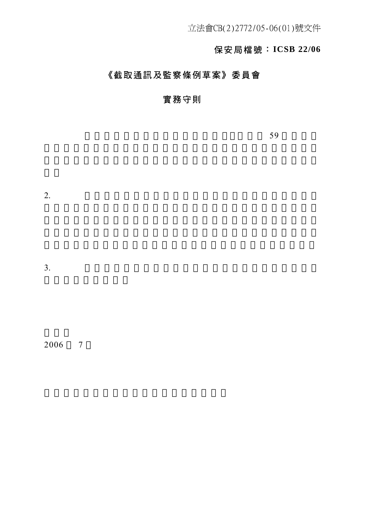立法會CB(2)2772/05-06(01)號文件

# 保安局檔號:**ICSB 22/06**

# 《截取通訊及監察條例草案》委員會

# 實務守則

 $59$ 

 $2.$ 

 $3.$ 

2006 7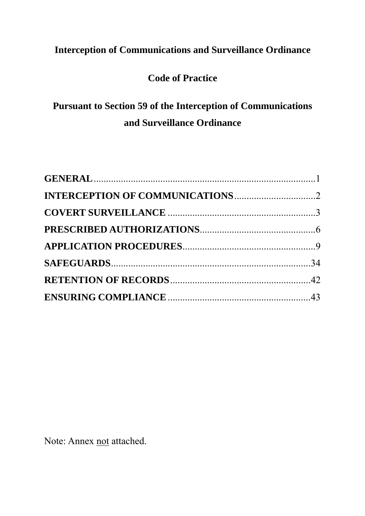# **Interception of Communications and Surveillance Ordinance**

# **Code of Practice**

# **Pursuant to Section 59 of the Interception of Communications and Surveillance Ordinance**

Note: Annex not attached.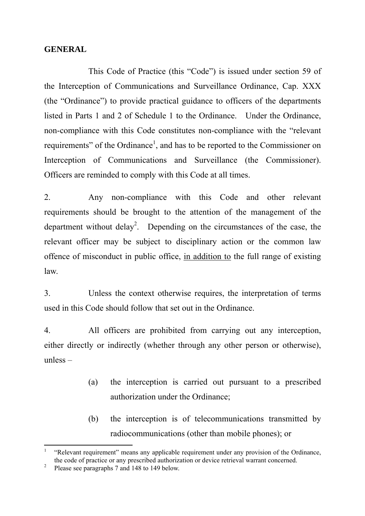#### **GENERAL**

 This Code of Practice (this "Code") is issued under section 59 of the Interception of Communications and Surveillance Ordinance, Cap. XXX (the "Ordinance") to provide practical guidance to officers of the departments listed in Parts 1 and 2 of Schedule 1 to the Ordinance. Under the Ordinance, non-compliance with this Code constitutes non-compliance with the "relevant requirements" of the Ordinance<sup>1</sup>, and has to be reported to the Commissioner on Interception of Communications and Surveillance (the Commissioner). Officers are reminded to comply with this Code at all times.

2. Any non-compliance with this Code and other relevant requirements should be brought to the attention of the management of the department without delay<sup>2</sup>. Depending on the circumstances of the case, the relevant officer may be subject to disciplinary action or the common law offence of misconduct in public office, in addition to the full range of existing law.

3. Unless the context otherwise requires, the interpretation of terms used in this Code should follow that set out in the Ordinance.

4. All officers are prohibited from carrying out any interception, either directly or indirectly (whether through any other person or otherwise), unless –

- (a) the interception is carried out pursuant to a prescribed authorization under the Ordinance;
- (b) the interception is of telecommunications transmitted by radiocommunications (other than mobile phones); or

 $\overline{a}$ 

<sup>1</sup> "Relevant requirement" means any applicable requirement under any provision of the Ordinance, the code of practice or any prescribed authorization or device retrieval warrant concerned.

<sup>2</sup> Please see paragraphs 7 and 148 to 149 below.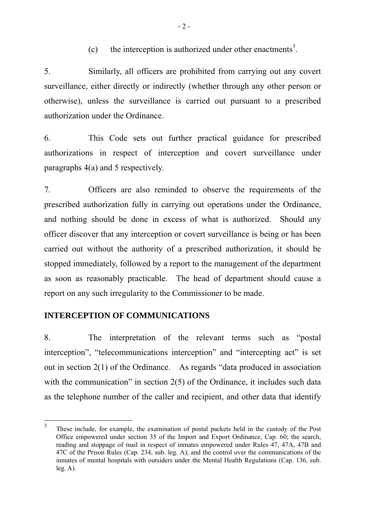(c) the interception is authorized under other enactments<sup>3</sup>.

5. Similarly, all officers are prohibited from carrying out any covert surveillance, either directly or indirectly (whether through any other person or otherwise), unless the surveillance is carried out pursuant to a prescribed authorization under the Ordinance.

6. This Code sets out further practical guidance for prescribed authorizations in respect of interception and covert surveillance under paragraphs 4(a) and 5 respectively.

7. Officers are also reminded to observe the requirements of the prescribed authorization fully in carrying out operations under the Ordinance, and nothing should be done in excess of what is authorized. Should any officer discover that any interception or covert surveillance is being or has been carried out without the authority of a prescribed authorization, it should be stopped immediately, followed by a report to the management of the department as soon as reasonably practicable. The head of department should cause a report on any such irregularity to the Commissioner to be made.

# **INTERCEPTION OF COMMUNICATIONS**

 $\overline{a}$ 

8. The interpretation of the relevant terms such as "postal interception", "telecommunications interception" and "intercepting act" is set out in section 2(1) of the Ordinance. As regards "data produced in association with the communication" in section 2(5) of the Ordinance, it includes such data as the telephone number of the caller and recipient, and other data that identify

<sup>3</sup> These include, for example, the examination of postal packets held in the custody of the Post Office empowered under section 35 of the Import and Export Ordinance, Cap. 60; the search, reading and stoppage of mail in respect of inmates empowered under Rules 47, 47A, 47B and 47C of the Prison Rules (Cap. 234, sub. leg. A); and the control over the communications of the inmates of mental hospitals with outsiders under the Mental Health Regulations (Cap. 136, sub.  $leg. A$ ).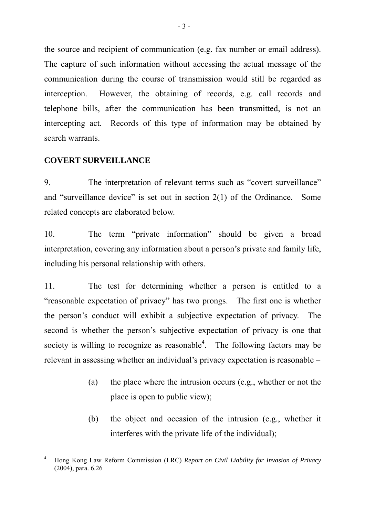the source and recipient of communication (e.g. fax number or email address). The capture of such information without accessing the actual message of the communication during the course of transmission would still be regarded as interception. However, the obtaining of records, e.g. call records and telephone bills, after the communication has been transmitted, is not an intercepting act. Records of this type of information may be obtained by search warrants.

### **COVERT SURVEILLANCE**

 $\overline{a}$ 

9. The interpretation of relevant terms such as "covert surveillance" and "surveillance device" is set out in section 2(1) of the Ordinance. Some related concepts are elaborated below.

10. The term "private information" should be given a broad interpretation, covering any information about a person's private and family life, including his personal relationship with others.

11. The test for determining whether a person is entitled to a "reasonable expectation of privacy" has two prongs. The first one is whether the person's conduct will exhibit a subjective expectation of privacy. The second is whether the person's subjective expectation of privacy is one that society is willing to recognize as reasonable<sup>4</sup>. The following factors may be relevant in assessing whether an individual's privacy expectation is reasonable –

- (a) the place where the intrusion occurs (e.g., whether or not the place is open to public view);
- (b) the object and occasion of the intrusion (e.g., whether it interferes with the private life of the individual);

<sup>4</sup> Hong Kong Law Reform Commission (LRC) *Report on Civil Liability for Invasion of Privacy* (2004), para. 6.26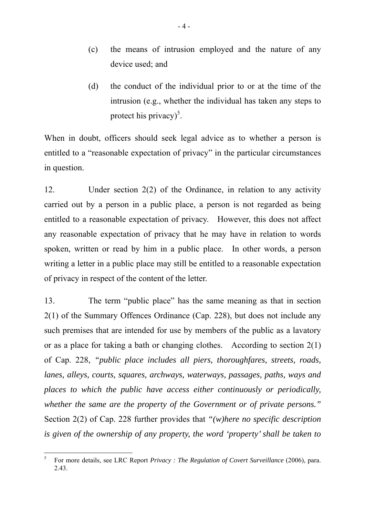- (c) the means of intrusion employed and the nature of any device used; and
- (d) the conduct of the individual prior to or at the time of the intrusion (e.g., whether the individual has taken any steps to protect his privacy)<sup>5</sup>.

When in doubt, officers should seek legal advice as to whether a person is entitled to a "reasonable expectation of privacy" in the particular circumstances in question.

12. Under section 2(2) of the Ordinance, in relation to any activity carried out by a person in a public place, a person is not regarded as being entitled to a reasonable expectation of privacy. However, this does not affect any reasonable expectation of privacy that he may have in relation to words spoken, written or read by him in a public place. In other words, a person writing a letter in a public place may still be entitled to a reasonable expectation of privacy in respect of the content of the letter.

13. The term "public place" has the same meaning as that in section 2(1) of the Summary Offences Ordinance (Cap. 228), but does not include any such premises that are intended for use by members of the public as a lavatory or as a place for taking a bath or changing clothes. According to section 2(1) of Cap. 228, *"public place includes all piers, thoroughfares, streets, roads, lanes, alleys, courts, squares, archways, waterways, passages, paths, ways and places to which the public have access either continuously or periodically, whether the same are the property of the Government or of private persons."*  Section 2(2) of Cap. 228 further provides that *"(w)here no specific description is given of the ownership of any property, the word 'property' shall be taken to* 

 5 For more details, see LRC Report *Privacy : The Regulation of Covert Surveillance* (2006), para. 2.43.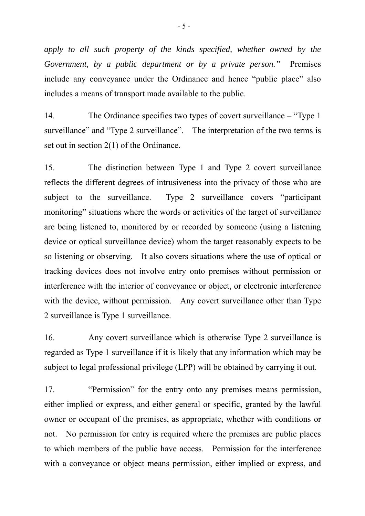*apply to all such property of the kinds specified, whether owned by the Government, by a public department or by a private person."* Premises include any conveyance under the Ordinance and hence "public place" also includes a means of transport made available to the public.

14. The Ordinance specifies two types of covert surveillance – "Type 1 surveillance" and "Type 2 surveillance". The interpretation of the two terms is set out in section 2(1) of the Ordinance.

15. The distinction between Type 1 and Type 2 covert surveillance reflects the different degrees of intrusiveness into the privacy of those who are subject to the surveillance. Type 2 surveillance covers "participant monitoring" situations where the words or activities of the target of surveillance are being listened to, monitored by or recorded by someone (using a listening device or optical surveillance device) whom the target reasonably expects to be so listening or observing. It also covers situations where the use of optical or tracking devices does not involve entry onto premises without permission or interference with the interior of conveyance or object, or electronic interference with the device, without permission. Any covert surveillance other than Type 2 surveillance is Type 1 surveillance.

16. Any covert surveillance which is otherwise Type 2 surveillance is regarded as Type 1 surveillance if it is likely that any information which may be subject to legal professional privilege (LPP) will be obtained by carrying it out.

17. "Permission" for the entry onto any premises means permission, either implied or express, and either general or specific, granted by the lawful owner or occupant of the premises, as appropriate, whether with conditions or not. No permission for entry is required where the premises are public places to which members of the public have access. Permission for the interference with a conveyance or object means permission, either implied or express, and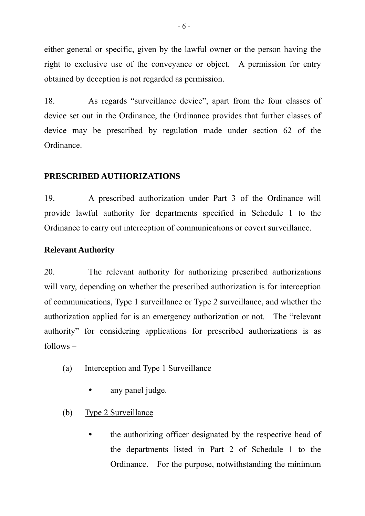either general or specific, given by the lawful owner or the person having the right to exclusive use of the conveyance or object. A permission for entry obtained by deception is not regarded as permission.

18. As regards "surveillance device", apart from the four classes of device set out in the Ordinance, the Ordinance provides that further classes of device may be prescribed by regulation made under section 62 of the Ordinance.

# **PRESCRIBED AUTHORIZATIONS**

19. A prescribed authorization under Part 3 of the Ordinance will provide lawful authority for departments specified in Schedule 1 to the Ordinance to carry out interception of communications or covert surveillance.

# **Relevant Authority**

20. The relevant authority for authorizing prescribed authorizations will vary, depending on whether the prescribed authorization is for interception of communications, Type 1 surveillance or Type 2 surveillance, and whether the authorization applied for is an emergency authorization or not. The "relevant authority" for considering applications for prescribed authorizations is as  $follows -$ 

- (a) Interception and Type 1 Surveillance
	- any panel judge.
- (b) Type 2 Surveillance
	- the authorizing officer designated by the respective head of the departments listed in Part 2 of Schedule 1 to the Ordinance. For the purpose, notwithstanding the minimum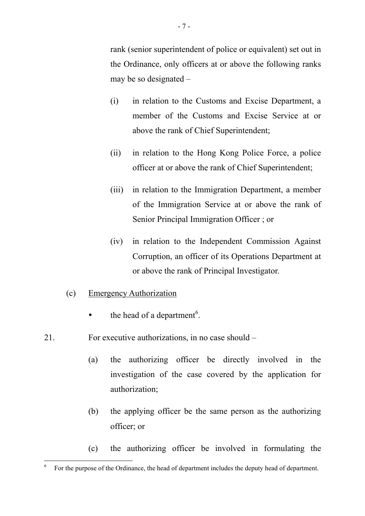rank (senior superintendent of police or equivalent) set out in the Ordinance, only officers at or above the following ranks may be so designated –

- (i) in relation to the Customs and Excise Department, a member of the Customs and Excise Service at or above the rank of Chief Superintendent;
- (ii) in relation to the Hong Kong Police Force, a police officer at or above the rank of Chief Superintendent;
- (iii) in relation to the Immigration Department, a member of the Immigration Service at or above the rank of Senior Principal Immigration Officer ; or
- (iv) in relation to the Independent Commission Against Corruption, an officer of its Operations Department at or above the rank of Principal Investigator.
- (c) Emergency Authorization

 $\overline{a}$ 

- $\bullet$  the head of a department<sup>6</sup>.
- 21. For executive authorizations, in no case should
	- (a) the authorizing officer be directly involved in the investigation of the case covered by the application for authorization;
	- (b) the applying officer be the same person as the authorizing officer; or
	- (c) the authorizing officer be involved in formulating the

<sup>6</sup> For the purpose of the Ordinance, the head of department includes the deputy head of department.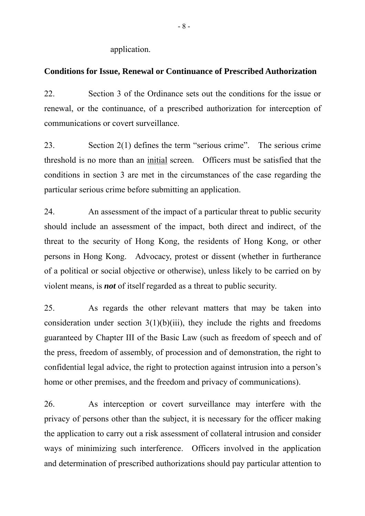application.

#### **Conditions for Issue, Renewal or Continuance of Prescribed Authorization**

22. Section 3 of the Ordinance sets out the conditions for the issue or renewal, or the continuance, of a prescribed authorization for interception of communications or covert surveillance.

23. Section 2(1) defines the term "serious crime". The serious crime threshold is no more than an initial screen. Officers must be satisfied that the conditions in section 3 are met in the circumstances of the case regarding the particular serious crime before submitting an application.

24. An assessment of the impact of a particular threat to public security should include an assessment of the impact, both direct and indirect, of the threat to the security of Hong Kong, the residents of Hong Kong, or other persons in Hong Kong. Advocacy, protest or dissent (whether in furtherance of a political or social objective or otherwise), unless likely to be carried on by violent means, is *not* of itself regarded as a threat to public security.

25. As regards the other relevant matters that may be taken into consideration under section  $3(1)(b)(iii)$ , they include the rights and freedoms guaranteed by Chapter III of the Basic Law (such as freedom of speech and of the press, freedom of assembly, of procession and of demonstration, the right to confidential legal advice, the right to protection against intrusion into a person's home or other premises, and the freedom and privacy of communications).

26. As interception or covert surveillance may interfere with the privacy of persons other than the subject, it is necessary for the officer making the application to carry out a risk assessment of collateral intrusion and consider ways of minimizing such interference. Officers involved in the application and determination of prescribed authorizations should pay particular attention to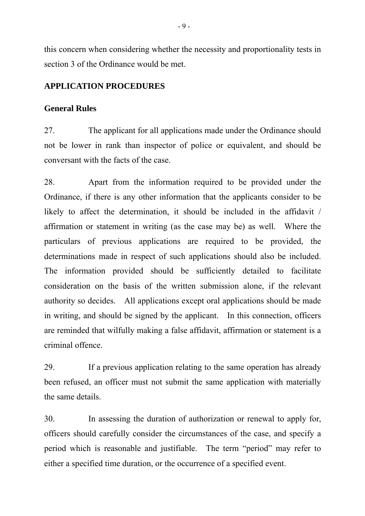this concern when considering whether the necessity and proportionality tests in section 3 of the Ordinance would be met.

## **APPLICATION PROCEDURES**

#### **General Rules**

27. The applicant for all applications made under the Ordinance should not be lower in rank than inspector of police or equivalent, and should be conversant with the facts of the case.

28. Apart from the information required to be provided under the Ordinance, if there is any other information that the applicants consider to be likely to affect the determination, it should be included in the affidavit / affirmation or statement in writing (as the case may be) as well. Where the particulars of previous applications are required to be provided, the determinations made in respect of such applications should also be included. The information provided should be sufficiently detailed to facilitate consideration on the basis of the written submission alone, if the relevant authority so decides. All applications except oral applications should be made in writing, and should be signed by the applicant. In this connection, officers are reminded that wilfully making a false affidavit, affirmation or statement is a criminal offence.

29. If a previous application relating to the same operation has already been refused, an officer must not submit the same application with materially the same details.

30. In assessing the duration of authorization or renewal to apply for, officers should carefully consider the circumstances of the case, and specify a period which is reasonable and justifiable. The term "period" may refer to either a specified time duration, or the occurrence of a specified event.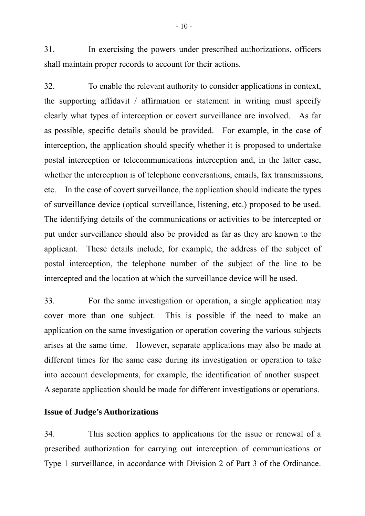31. In exercising the powers under prescribed authorizations, officers shall maintain proper records to account for their actions.

32. To enable the relevant authority to consider applications in context, the supporting affidavit / affirmation or statement in writing must specify clearly what types of interception or covert surveillance are involved. As far as possible, specific details should be provided. For example, in the case of interception, the application should specify whether it is proposed to undertake postal interception or telecommunications interception and, in the latter case, whether the interception is of telephone conversations, emails, fax transmissions, etc. In the case of covert surveillance, the application should indicate the types of surveillance device (optical surveillance, listening, etc.) proposed to be used. The identifying details of the communications or activities to be intercepted or put under surveillance should also be provided as far as they are known to the applicant. These details include, for example, the address of the subject of postal interception, the telephone number of the subject of the line to be intercepted and the location at which the surveillance device will be used.

33. For the same investigation or operation, a single application may cover more than one subject. This is possible if the need to make an application on the same investigation or operation covering the various subjects arises at the same time. However, separate applications may also be made at different times for the same case during its investigation or operation to take into account developments, for example, the identification of another suspect. A separate application should be made for different investigations or operations.

#### **Issue of Judge's Authorizations**

34. This section applies to applications for the issue or renewal of a prescribed authorization for carrying out interception of communications or Type 1 surveillance, in accordance with Division 2 of Part 3 of the Ordinance.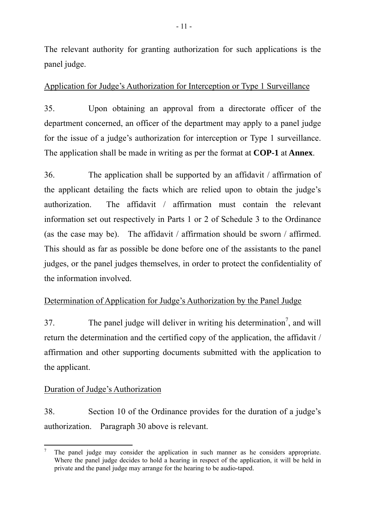The relevant authority for granting authorization for such applications is the panel judge.

# Application for Judge's Authorization for Interception or Type 1 Surveillance

35. Upon obtaining an approval from a directorate officer of the department concerned, an officer of the department may apply to a panel judge for the issue of a judge's authorization for interception or Type 1 surveillance. The application shall be made in writing as per the format at **COP-1** at **Annex**.

36. The application shall be supported by an affidavit / affirmation of the applicant detailing the facts which are relied upon to obtain the judge's authorization. The affidavit / affirmation must contain the relevant information set out respectively in Parts 1 or 2 of Schedule 3 to the Ordinance (as the case may be). The affidavit / affirmation should be sworn / affirmed. This should as far as possible be done before one of the assistants to the panel judges, or the panel judges themselves, in order to protect the confidentiality of the information involved.

# Determination of Application for Judge's Authorization by the Panel Judge

37. The panel judge will deliver in writing his determination<sup>7</sup>, and will return the determination and the certified copy of the application, the affidavit / affirmation and other supporting documents submitted with the application to the applicant.

# Duration of Judge's Authorization

38. Section 10 of the Ordinance provides for the duration of a judge's authorization. Paragraph 30 above is relevant.

 $\overline{a}$ 7 The panel judge may consider the application in such manner as he considers appropriate. Where the panel judge decides to hold a hearing in respect of the application, it will be held in private and the panel judge may arrange for the hearing to be audio-taped.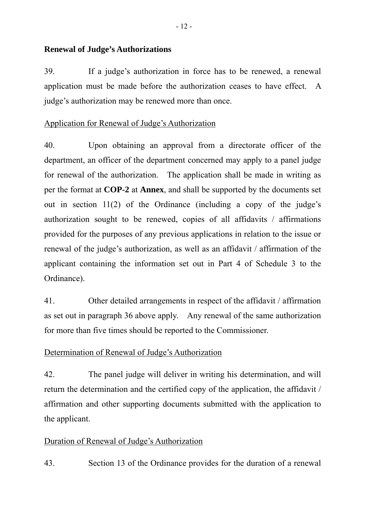### **Renewal of Judge's Authorizations**

39. If a judge's authorization in force has to be renewed, a renewal application must be made before the authorization ceases to have effect. A judge's authorization may be renewed more than once.

# Application for Renewal of Judge's Authorization

40. Upon obtaining an approval from a directorate officer of the department, an officer of the department concerned may apply to a panel judge for renewal of the authorization. The application shall be made in writing as per the format at **COP-2** at **Annex**, and shall be supported by the documents set out in section 11(2) of the Ordinance (including a copy of the judge's authorization sought to be renewed, copies of all affidavits / affirmations provided for the purposes of any previous applications in relation to the issue or renewal of the judge's authorization, as well as an affidavit / affirmation of the applicant containing the information set out in Part 4 of Schedule 3 to the Ordinance).

41. Other detailed arrangements in respect of the affidavit / affirmation as set out in paragraph 36 above apply. Any renewal of the same authorization for more than five times should be reported to the Commissioner.

# Determination of Renewal of Judge's Authorization

42. The panel judge will deliver in writing his determination, and will return the determination and the certified copy of the application, the affidavit / affirmation and other supporting documents submitted with the application to the applicant.

# Duration of Renewal of Judge's Authorization

43. Section 13 of the Ordinance provides for the duration of a renewal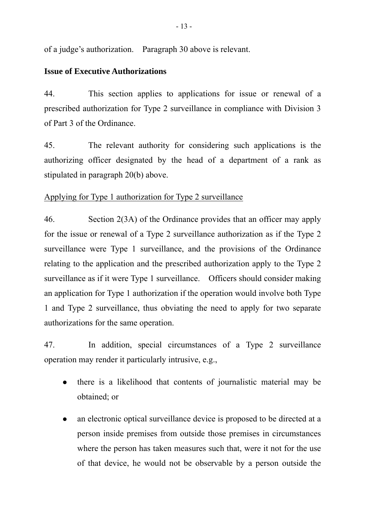of a judge's authorization. Paragraph 30 above is relevant.

# **Issue of Executive Authorizations**

44. This section applies to applications for issue or renewal of a prescribed authorization for Type 2 surveillance in compliance with Division 3 of Part 3 of the Ordinance.

45. The relevant authority for considering such applications is the authorizing officer designated by the head of a department of a rank as stipulated in paragraph 20(b) above.

# Applying for Type 1 authorization for Type 2 surveillance

46. Section 2(3A) of the Ordinance provides that an officer may apply for the issue or renewal of a Type 2 surveillance authorization as if the Type 2 surveillance were Type 1 surveillance, and the provisions of the Ordinance relating to the application and the prescribed authorization apply to the Type 2 surveillance as if it were Type 1 surveillance. Officers should consider making an application for Type 1 authorization if the operation would involve both Type 1 and Type 2 surveillance, thus obviating the need to apply for two separate authorizations for the same operation.

47. In addition, special circumstances of a Type 2 surveillance operation may render it particularly intrusive, e.g.,

- there is a likelihood that contents of journalistic material may be obtained; or
- an electronic optical surveillance device is proposed to be directed at a person inside premises from outside those premises in circumstances where the person has taken measures such that, were it not for the use of that device, he would not be observable by a person outside the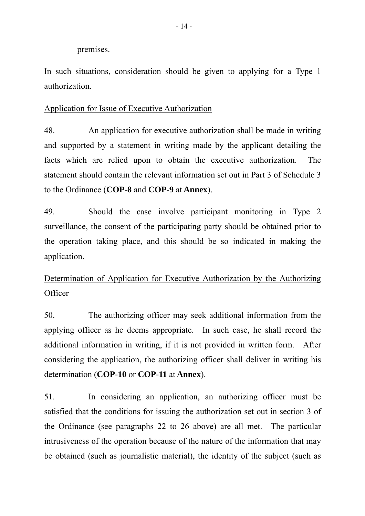premises.

In such situations, consideration should be given to applying for a Type 1 authorization.

# Application for Issue of Executive Authorization

48. An application for executive authorization shall be made in writing and supported by a statement in writing made by the applicant detailing the facts which are relied upon to obtain the executive authorization. The statement should contain the relevant information set out in Part 3 of Schedule 3 to the Ordinance (**COP-8** and **COP-9** at **Annex**).

49. Should the case involve participant monitoring in Type 2 surveillance, the consent of the participating party should be obtained prior to the operation taking place, and this should be so indicated in making the application.

# Determination of Application for Executive Authorization by the Authorizing **Officer**

50. The authorizing officer may seek additional information from the applying officer as he deems appropriate. In such case, he shall record the additional information in writing, if it is not provided in written form. After considering the application, the authorizing officer shall deliver in writing his determination (**COP-10** or **COP-11** at **Annex**).

51. In considering an application, an authorizing officer must be satisfied that the conditions for issuing the authorization set out in section 3 of the Ordinance (see paragraphs 22 to 26 above) are all met. The particular intrusiveness of the operation because of the nature of the information that may be obtained (such as journalistic material), the identity of the subject (such as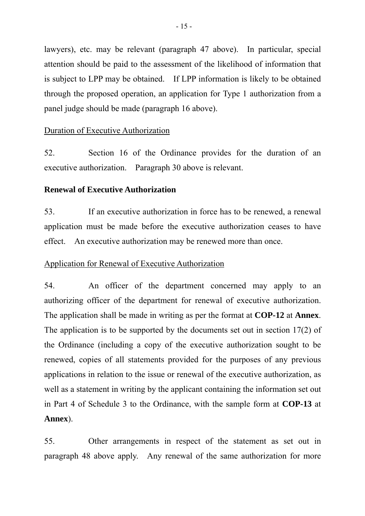lawyers), etc. may be relevant (paragraph 47 above). In particular, special attention should be paid to the assessment of the likelihood of information that is subject to LPP may be obtained. If LPP information is likely to be obtained through the proposed operation, an application for Type 1 authorization from a panel judge should be made (paragraph 16 above).

#### Duration of Executive Authorization

52. Section 16 of the Ordinance provides for the duration of an executive authorization. Paragraph 30 above is relevant.

#### **Renewal of Executive Authorization**

53. If an executive authorization in force has to be renewed, a renewal application must be made before the executive authorization ceases to have effect. An executive authorization may be renewed more than once.

#### Application for Renewal of Executive Authorization

54. An officer of the department concerned may apply to an authorizing officer of the department for renewal of executive authorization. The application shall be made in writing as per the format at **COP-12** at **Annex**. The application is to be supported by the documents set out in section 17(2) of the Ordinance (including a copy of the executive authorization sought to be renewed, copies of all statements provided for the purposes of any previous applications in relation to the issue or renewal of the executive authorization, as well as a statement in writing by the applicant containing the information set out in Part 4 of Schedule 3 to the Ordinance, with the sample form at **COP-13** at **Annex**).

55. Other arrangements in respect of the statement as set out in paragraph 48 above apply. Any renewal of the same authorization for more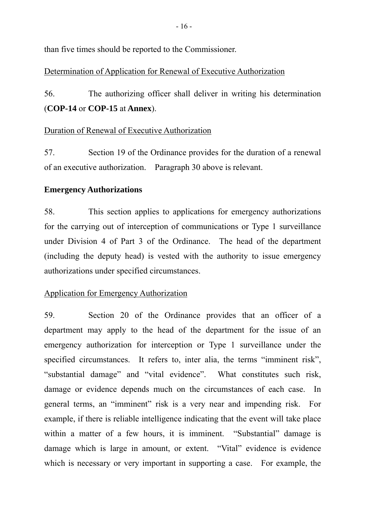than five times should be reported to the Commissioner.

# Determination of Application for Renewal of Executive Authorization

56. The authorizing officer shall deliver in writing his determination (**COP-14** or **COP-15** at **Annex**).

# Duration of Renewal of Executive Authorization

57. Section 19 of the Ordinance provides for the duration of a renewal of an executive authorization. Paragraph 30 above is relevant.

# **Emergency Authorizations**

58. This section applies to applications for emergency authorizations for the carrying out of interception of communications or Type 1 surveillance under Division 4 of Part 3 of the Ordinance. The head of the department (including the deputy head) is vested with the authority to issue emergency authorizations under specified circumstances.

# Application for Emergency Authorization

59. Section 20 of the Ordinance provides that an officer of a department may apply to the head of the department for the issue of an emergency authorization for interception or Type 1 surveillance under the specified circumstances. It refers to, inter alia, the terms "imminent risk", "substantial damage" and "vital evidence". What constitutes such risk, damage or evidence depends much on the circumstances of each case. In general terms, an "imminent" risk is a very near and impending risk. For example, if there is reliable intelligence indicating that the event will take place within a matter of a few hours, it is imminent. "Substantial" damage is damage which is large in amount, or extent. "Vital" evidence is evidence which is necessary or very important in supporting a case. For example, the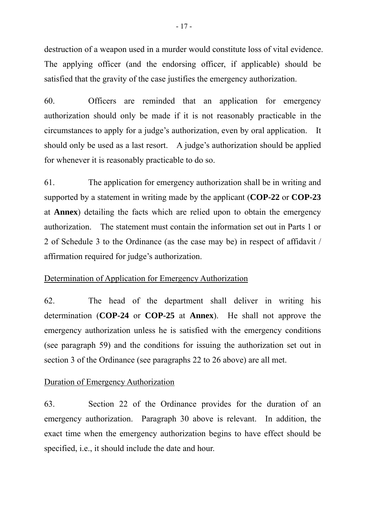destruction of a weapon used in a murder would constitute loss of vital evidence. The applying officer (and the endorsing officer, if applicable) should be satisfied that the gravity of the case justifies the emergency authorization.

60. Officers are reminded that an application for emergency authorization should only be made if it is not reasonably practicable in the circumstances to apply for a judge's authorization, even by oral application. It should only be used as a last resort. A judge's authorization should be applied for whenever it is reasonably practicable to do so.

61. The application for emergency authorization shall be in writing and supported by a statement in writing made by the applicant (**COP-22** or **COP-23** at **Annex**) detailing the facts which are relied upon to obtain the emergency authorization. The statement must contain the information set out in Parts 1 or 2 of Schedule 3 to the Ordinance (as the case may be) in respect of affidavit / affirmation required for judge's authorization.

#### Determination of Application for Emergency Authorization

62. The head of the department shall deliver in writing his determination (**COP-24** or **COP-25** at **Annex**). He shall not approve the emergency authorization unless he is satisfied with the emergency conditions (see paragraph 59) and the conditions for issuing the authorization set out in section 3 of the Ordinance (see paragraphs 22 to 26 above) are all met.

# Duration of Emergency Authorization

63. Section 22 of the Ordinance provides for the duration of an emergency authorization. Paragraph 30 above is relevant. In addition, the exact time when the emergency authorization begins to have effect should be specified, i.e., it should include the date and hour.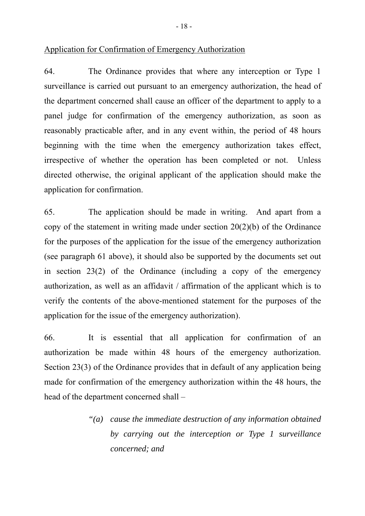#### Application for Confirmation of Emergency Authorization

64. The Ordinance provides that where any interception or Type 1 surveillance is carried out pursuant to an emergency authorization, the head of the department concerned shall cause an officer of the department to apply to a panel judge for confirmation of the emergency authorization, as soon as reasonably practicable after, and in any event within, the period of 48 hours beginning with the time when the emergency authorization takes effect, irrespective of whether the operation has been completed or not. Unless directed otherwise, the original applicant of the application should make the application for confirmation.

65. The application should be made in writing. And apart from a copy of the statement in writing made under section 20(2)(b) of the Ordinance for the purposes of the application for the issue of the emergency authorization (see paragraph 61 above), it should also be supported by the documents set out in section 23(2) of the Ordinance (including a copy of the emergency authorization, as well as an affidavit / affirmation of the applicant which is to verify the contents of the above-mentioned statement for the purposes of the application for the issue of the emergency authorization).

66. It is essential that all application for confirmation of an authorization be made within 48 hours of the emergency authorization. Section 23(3) of the Ordinance provides that in default of any application being made for confirmation of the emergency authorization within the 48 hours, the head of the department concerned shall –

> *"(a) cause the immediate destruction of any information obtained by carrying out the interception or Type 1 surveillance concerned; and*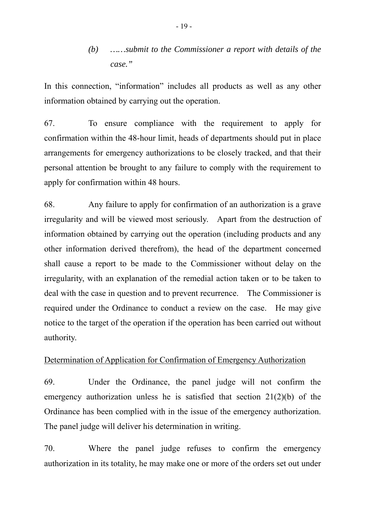*(b) ……submit to the Commissioner a report with details of the case."* 

In this connection, "information" includes all products as well as any other information obtained by carrying out the operation.

67. To ensure compliance with the requirement to apply for confirmation within the 48-hour limit, heads of departments should put in place arrangements for emergency authorizations to be closely tracked, and that their personal attention be brought to any failure to comply with the requirement to apply for confirmation within 48 hours.

68. Any failure to apply for confirmation of an authorization is a grave irregularity and will be viewed most seriously. Apart from the destruction of information obtained by carrying out the operation (including products and any other information derived therefrom), the head of the department concerned shall cause a report to be made to the Commissioner without delay on the irregularity, with an explanation of the remedial action taken or to be taken to deal with the case in question and to prevent recurrence. The Commissioner is required under the Ordinance to conduct a review on the case. He may give notice to the target of the operation if the operation has been carried out without authority.

#### Determination of Application for Confirmation of Emergency Authorization

69. Under the Ordinance, the panel judge will not confirm the emergency authorization unless he is satisfied that section 21(2)(b) of the Ordinance has been complied with in the issue of the emergency authorization. The panel judge will deliver his determination in writing.

70. Where the panel judge refuses to confirm the emergency authorization in its totality, he may make one or more of the orders set out under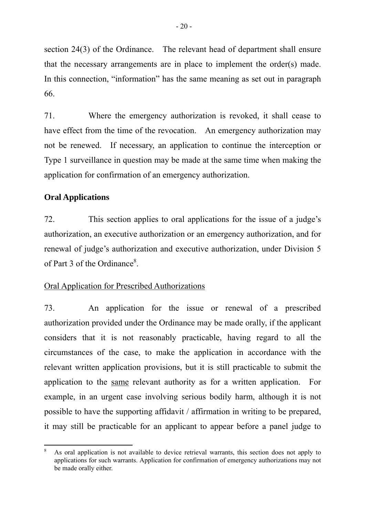section 24(3) of the Ordinance. The relevant head of department shall ensure that the necessary arrangements are in place to implement the order(s) made. In this connection, "information" has the same meaning as set out in paragraph 66.

71. Where the emergency authorization is revoked, it shall cease to have effect from the time of the revocation. An emergency authorization may not be renewed. If necessary, an application to continue the interception or Type 1 surveillance in question may be made at the same time when making the application for confirmation of an emergency authorization.

### **Oral Applications**

 $\overline{a}$ 

72. This section applies to oral applications for the issue of a judge's authorization, an executive authorization or an emergency authorization, and for renewal of judge's authorization and executive authorization, under Division 5 of Part 3 of the Ordinance<sup>8</sup>.

#### Oral Application for Prescribed Authorizations

73. An application for the issue or renewal of a prescribed authorization provided under the Ordinance may be made orally, if the applicant considers that it is not reasonably practicable, having regard to all the circumstances of the case, to make the application in accordance with the relevant written application provisions, but it is still practicable to submit the application to the same relevant authority as for a written application. For example, in an urgent case involving serious bodily harm, although it is not possible to have the supporting affidavit / affirmation in writing to be prepared, it may still be practicable for an applicant to appear before a panel judge to

<sup>8</sup> As oral application is not available to device retrieval warrants, this section does not apply to applications for such warrants. Application for confirmation of emergency authorizations may not be made orally either.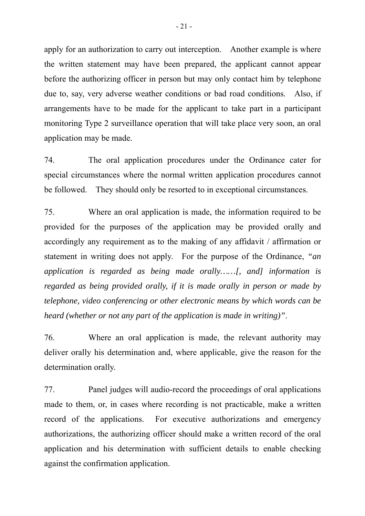apply for an authorization to carry out interception. Another example is where the written statement may have been prepared, the applicant cannot appear before the authorizing officer in person but may only contact him by telephone due to, say, very adverse weather conditions or bad road conditions. Also, if arrangements have to be made for the applicant to take part in a participant monitoring Type 2 surveillance operation that will take place very soon, an oral application may be made.

74. The oral application procedures under the Ordinance cater for special circumstances where the normal written application procedures cannot be followed. They should only be resorted to in exceptional circumstances.

75. Where an oral application is made, the information required to be provided for the purposes of the application may be provided orally and accordingly any requirement as to the making of any affidavit / affirmation or statement in writing does not apply. For the purpose of the Ordinance, *"an application is regarded as being made orally……[, and] information is regarded as being provided orally, if it is made orally in person or made by telephone, video conferencing or other electronic means by which words can be heard (whether or not any part of the application is made in writing)"*.

76. Where an oral application is made, the relevant authority may deliver orally his determination and, where applicable, give the reason for the determination orally.

77. Panel judges will audio-record the proceedings of oral applications made to them, or, in cases where recording is not practicable, make a written record of the applications. For executive authorizations and emergency authorizations, the authorizing officer should make a written record of the oral application and his determination with sufficient details to enable checking against the confirmation application.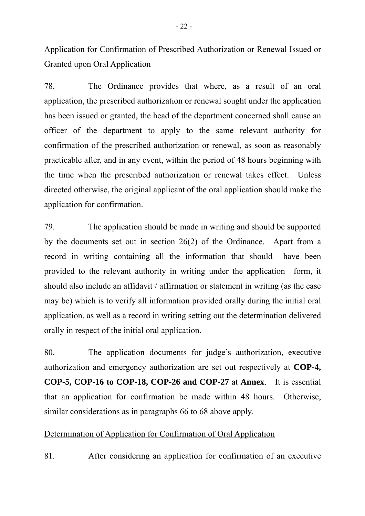Application for Confirmation of Prescribed Authorization or Renewal Issued or Granted upon Oral Application

78. The Ordinance provides that where, as a result of an oral application, the prescribed authorization or renewal sought under the application has been issued or granted, the head of the department concerned shall cause an officer of the department to apply to the same relevant authority for confirmation of the prescribed authorization or renewal, as soon as reasonably practicable after, and in any event, within the period of 48 hours beginning with the time when the prescribed authorization or renewal takes effect. Unless directed otherwise, the original applicant of the oral application should make the application for confirmation.

79. The application should be made in writing and should be supported by the documents set out in section 26(2) of the Ordinance. Apart from a record in writing containing all the information that should have been provided to the relevant authority in writing under the application form, it should also include an affidavit / affirmation or statement in writing (as the case may be) which is to verify all information provided orally during the initial oral application, as well as a record in writing setting out the determination delivered orally in respect of the initial oral application.

80. The application documents for judge's authorization, executive authorization and emergency authorization are set out respectively at **COP-4, COP-5, COP-16 to COP-18, COP-26 and COP-27** at **Annex**. It is essential that an application for confirmation be made within 48 hours. Otherwise, similar considerations as in paragraphs 66 to 68 above apply.

# Determination of Application for Confirmation of Oral Application

81. After considering an application for confirmation of an executive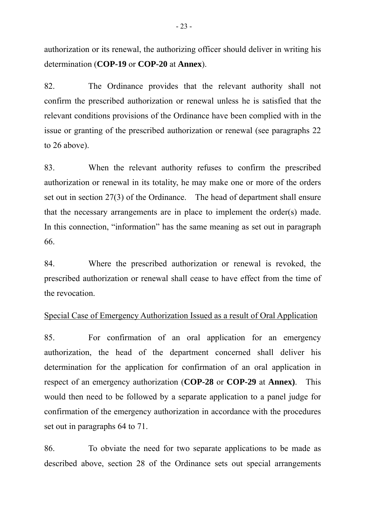authorization or its renewal, the authorizing officer should deliver in writing his determination (**COP-19** or **COP-20** at **Annex**).

82. The Ordinance provides that the relevant authority shall not confirm the prescribed authorization or renewal unless he is satisfied that the relevant conditions provisions of the Ordinance have been complied with in the issue or granting of the prescribed authorization or renewal (see paragraphs 22 to 26 above).

83. When the relevant authority refuses to confirm the prescribed authorization or renewal in its totality, he may make one or more of the orders set out in section 27(3) of the Ordinance. The head of department shall ensure that the necessary arrangements are in place to implement the order(s) made. In this connection, "information" has the same meaning as set out in paragraph 66.

84. Where the prescribed authorization or renewal is revoked, the prescribed authorization or renewal shall cease to have effect from the time of the revocation.

## Special Case of Emergency Authorization Issued as a result of Oral Application

85. For confirmation of an oral application for an emergency authorization, the head of the department concerned shall deliver his determination for the application for confirmation of an oral application in respect of an emergency authorization (**COP-28** or **COP-29** at **Annex)**. This would then need to be followed by a separate application to a panel judge for confirmation of the emergency authorization in accordance with the procedures set out in paragraphs 64 to 71.

86. To obviate the need for two separate applications to be made as described above, section 28 of the Ordinance sets out special arrangements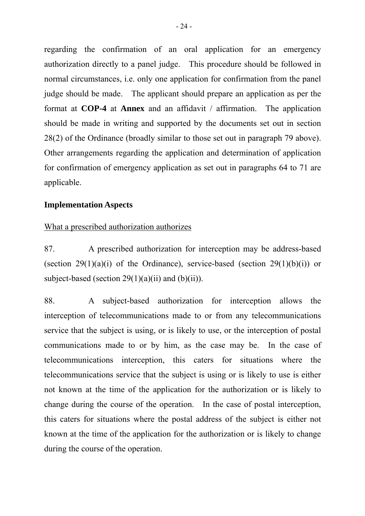regarding the confirmation of an oral application for an emergency authorization directly to a panel judge. This procedure should be followed in normal circumstances, i.e. only one application for confirmation from the panel judge should be made. The applicant should prepare an application as per the format at **COP-4** at **Annex** and an affidavit / affirmation. The application should be made in writing and supported by the documents set out in section 28(2) of the Ordinance (broadly similar to those set out in paragraph 79 above). Other arrangements regarding the application and determination of application for confirmation of emergency application as set out in paragraphs 64 to 71 are applicable.

#### **Implementation Aspects**

#### What a prescribed authorization authorizes

87. A prescribed authorization for interception may be address-based (section 29(1)(a)(i) of the Ordinance), service-based (section 29(1)(b)(i)) or subject-based (section  $29(1)(a)(ii)$  and  $(b)(ii)$ ).

88. A subject-based authorization for interception allows the interception of telecommunications made to or from any telecommunications service that the subject is using, or is likely to use, or the interception of postal communications made to or by him, as the case may be. In the case of telecommunications interception, this caters for situations where the telecommunications service that the subject is using or is likely to use is either not known at the time of the application for the authorization or is likely to change during the course of the operation. In the case of postal interception, this caters for situations where the postal address of the subject is either not known at the time of the application for the authorization or is likely to change during the course of the operation.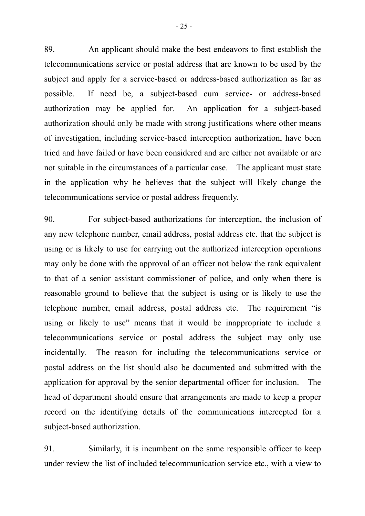89. An applicant should make the best endeavors to first establish the telecommunications service or postal address that are known to be used by the subject and apply for a service-based or address-based authorization as far as possible. If need be, a subject-based cum service- or address-based authorization may be applied for. An application for a subject-based authorization should only be made with strong justifications where other means of investigation, including service-based interception authorization, have been tried and have failed or have been considered and are either not available or are not suitable in the circumstances of a particular case. The applicant must state in the application why he believes that the subject will likely change the telecommunications service or postal address frequently.

90. For subject-based authorizations for interception, the inclusion of any new telephone number, email address, postal address etc. that the subject is using or is likely to use for carrying out the authorized interception operations may only be done with the approval of an officer not below the rank equivalent to that of a senior assistant commissioner of police, and only when there is reasonable ground to believe that the subject is using or is likely to use the telephone number, email address, postal address etc. The requirement "is using or likely to use" means that it would be inappropriate to include a telecommunications service or postal address the subject may only use incidentally. The reason for including the telecommunications service or postal address on the list should also be documented and submitted with the application for approval by the senior departmental officer for inclusion. The head of department should ensure that arrangements are made to keep a proper record on the identifying details of the communications intercepted for a subject-based authorization.

91. Similarly, it is incumbent on the same responsible officer to keep under review the list of included telecommunication service etc., with a view to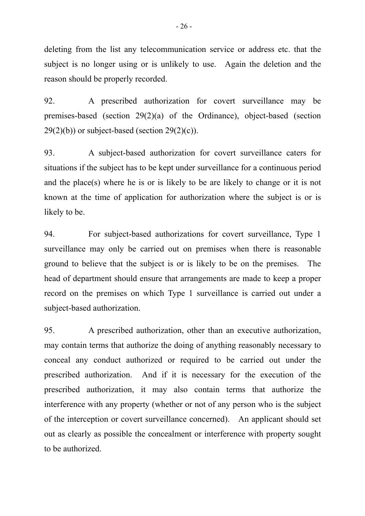deleting from the list any telecommunication service or address etc. that the subject is no longer using or is unlikely to use. Again the deletion and the reason should be properly recorded.

92. A prescribed authorization for covert surveillance may be premises-based (section 29(2)(a) of the Ordinance), object-based (section  $29(2)(b)$  or subject-based (section  $29(2)(c)$ ).

93. A subject-based authorization for covert surveillance caters for situations if the subject has to be kept under surveillance for a continuous period and the place(s) where he is or is likely to be are likely to change or it is not known at the time of application for authorization where the subject is or is likely to be.

94. For subject-based authorizations for covert surveillance, Type 1 surveillance may only be carried out on premises when there is reasonable ground to believe that the subject is or is likely to be on the premises. The head of department should ensure that arrangements are made to keep a proper record on the premises on which Type 1 surveillance is carried out under a subject-based authorization.

95. A prescribed authorization, other than an executive authorization, may contain terms that authorize the doing of anything reasonably necessary to conceal any conduct authorized or required to be carried out under the prescribed authorization. And if it is necessary for the execution of the prescribed authorization, it may also contain terms that authorize the interference with any property (whether or not of any person who is the subject of the interception or covert surveillance concerned). An applicant should set out as clearly as possible the concealment or interference with property sought to be authorized.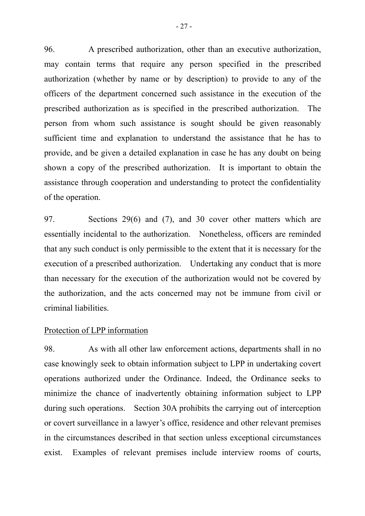96. A prescribed authorization, other than an executive authorization, may contain terms that require any person specified in the prescribed authorization (whether by name or by description) to provide to any of the officers of the department concerned such assistance in the execution of the prescribed authorization as is specified in the prescribed authorization. The person from whom such assistance is sought should be given reasonably sufficient time and explanation to understand the assistance that he has to provide, and be given a detailed explanation in case he has any doubt on being shown a copy of the prescribed authorization. It is important to obtain the assistance through cooperation and understanding to protect the confidentiality of the operation.

97. Sections 29(6) and (7), and 30 cover other matters which are essentially incidental to the authorization. Nonetheless, officers are reminded that any such conduct is only permissible to the extent that it is necessary for the execution of a prescribed authorization. Undertaking any conduct that is more than necessary for the execution of the authorization would not be covered by the authorization, and the acts concerned may not be immune from civil or criminal liabilities.

#### Protection of LPP information

98. As with all other law enforcement actions, departments shall in no case knowingly seek to obtain information subject to LPP in undertaking covert operations authorized under the Ordinance. Indeed, the Ordinance seeks to minimize the chance of inadvertently obtaining information subject to LPP during such operations. Section 30A prohibits the carrying out of interception or covert surveillance in a lawyer's office, residence and other relevant premises in the circumstances described in that section unless exceptional circumstances exist. Examples of relevant premises include interview rooms of courts,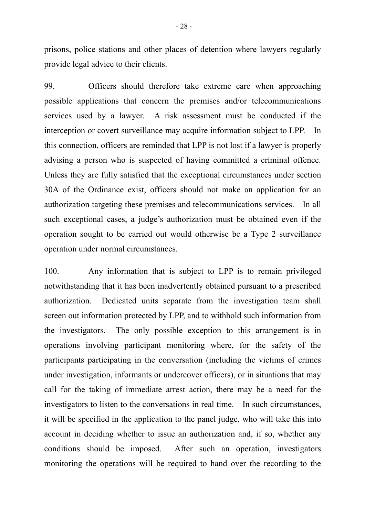prisons, police stations and other places of detention where lawyers regularly provide legal advice to their clients.

99. Officers should therefore take extreme care when approaching possible applications that concern the premises and/or telecommunications services used by a lawyer. A risk assessment must be conducted if the interception or covert surveillance may acquire information subject to LPP. In this connection, officers are reminded that LPP is not lost if a lawyer is properly advising a person who is suspected of having committed a criminal offence. Unless they are fully satisfied that the exceptional circumstances under section 30A of the Ordinance exist, officers should not make an application for an authorization targeting these premises and telecommunications services. In all such exceptional cases, a judge's authorization must be obtained even if the operation sought to be carried out would otherwise be a Type 2 surveillance operation under normal circumstances.

100. Any information that is subject to LPP is to remain privileged notwithstanding that it has been inadvertently obtained pursuant to a prescribed authorization. Dedicated units separate from the investigation team shall screen out information protected by LPP, and to withhold such information from the investigators. The only possible exception to this arrangement is in operations involving participant monitoring where, for the safety of the participants participating in the conversation (including the victims of crimes under investigation, informants or undercover officers), or in situations that may call for the taking of immediate arrest action, there may be a need for the investigators to listen to the conversations in real time. In such circumstances, it will be specified in the application to the panel judge, who will take this into account in deciding whether to issue an authorization and, if so, whether any conditions should be imposed. After such an operation, investigators monitoring the operations will be required to hand over the recording to the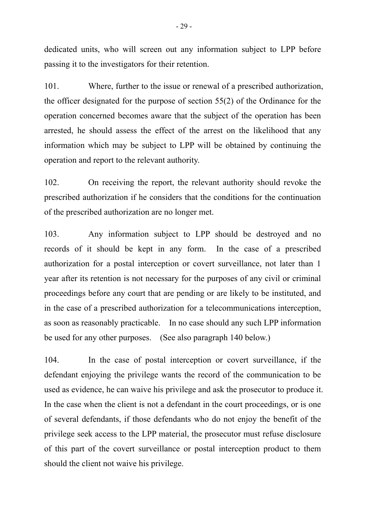dedicated units, who will screen out any information subject to LPP before passing it to the investigators for their retention.

101. Where, further to the issue or renewal of a prescribed authorization, the officer designated for the purpose of section 55(2) of the Ordinance for the operation concerned becomes aware that the subject of the operation has been arrested, he should assess the effect of the arrest on the likelihood that any information which may be subject to LPP will be obtained by continuing the operation and report to the relevant authority.

102. On receiving the report, the relevant authority should revoke the prescribed authorization if he considers that the conditions for the continuation of the prescribed authorization are no longer met.

103. Any information subject to LPP should be destroyed and no records of it should be kept in any form. In the case of a prescribed authorization for a postal interception or covert surveillance, not later than 1 year after its retention is not necessary for the purposes of any civil or criminal proceedings before any court that are pending or are likely to be instituted, and in the case of a prescribed authorization for a telecommunications interception, as soon as reasonably practicable. In no case should any such LPP information be used for any other purposes. (See also paragraph 140 below.)

104. In the case of postal interception or covert surveillance, if the defendant enjoying the privilege wants the record of the communication to be used as evidence, he can waive his privilege and ask the prosecutor to produce it. In the case when the client is not a defendant in the court proceedings, or is one of several defendants, if those defendants who do not enjoy the benefit of the privilege seek access to the LPP material, the prosecutor must refuse disclosure of this part of the covert surveillance or postal interception product to them should the client not waive his privilege.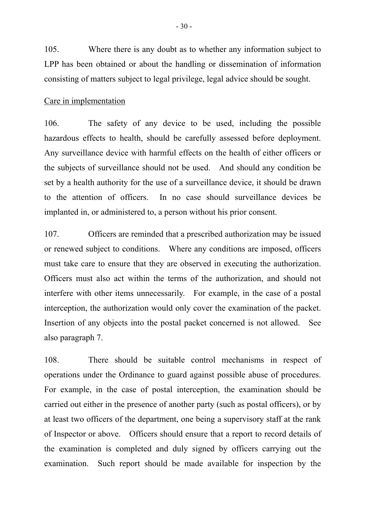105. Where there is any doubt as to whether any information subject to LPP has been obtained or about the handling or dissemination of information consisting of matters subject to legal privilege, legal advice should be sought.

#### Care in implementation

106. The safety of any device to be used, including the possible hazardous effects to health, should be carefully assessed before deployment. Any surveillance device with harmful effects on the health of either officers or the subjects of surveillance should not be used. And should any condition be set by a health authority for the use of a surveillance device, it should be drawn to the attention of officers. In no case should surveillance devices be implanted in, or administered to, a person without his prior consent.

107. Officers are reminded that a prescribed authorization may be issued or renewed subject to conditions. Where any conditions are imposed, officers must take care to ensure that they are observed in executing the authorization. Officers must also act within the terms of the authorization, and should not interfere with other items unnecessarily. For example, in the case of a postal interception, the authorization would only cover the examination of the packet. Insertion of any objects into the postal packet concerned is not allowed. See also paragraph 7.

108. There should be suitable control mechanisms in respect of operations under the Ordinance to guard against possible abuse of procedures. For example, in the case of postal interception, the examination should be carried out either in the presence of another party (such as postal officers), or by at least two officers of the department, one being a supervisory staff at the rank of Inspector or above. Officers should ensure that a report to record details of the examination is completed and duly signed by officers carrying out the examination. Such report should be made available for inspection by the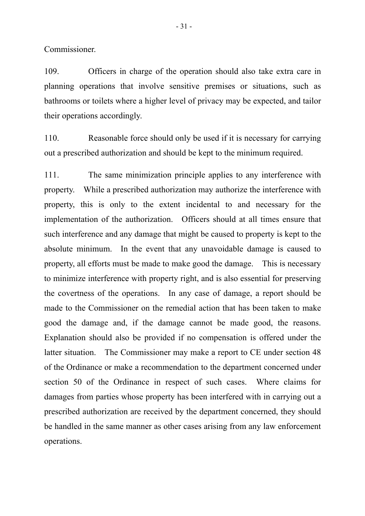Commissioner.

109. Officers in charge of the operation should also take extra care in planning operations that involve sensitive premises or situations, such as bathrooms or toilets where a higher level of privacy may be expected, and tailor their operations accordingly.

110. Reasonable force should only be used if it is necessary for carrying out a prescribed authorization and should be kept to the minimum required.

111. The same minimization principle applies to any interference with property. While a prescribed authorization may authorize the interference with property, this is only to the extent incidental to and necessary for the implementation of the authorization. Officers should at all times ensure that such interference and any damage that might be caused to property is kept to the absolute minimum. In the event that any unavoidable damage is caused to property, all efforts must be made to make good the damage. This is necessary to minimize interference with property right, and is also essential for preserving the covertness of the operations. In any case of damage, a report should be made to the Commissioner on the remedial action that has been taken to make good the damage and, if the damage cannot be made good, the reasons. Explanation should also be provided if no compensation is offered under the latter situation. The Commissioner may make a report to CE under section 48 of the Ordinance or make a recommendation to the department concerned under section 50 of the Ordinance in respect of such cases. Where claims for damages from parties whose property has been interfered with in carrying out a prescribed authorization are received by the department concerned, they should be handled in the same manner as other cases arising from any law enforcement operations.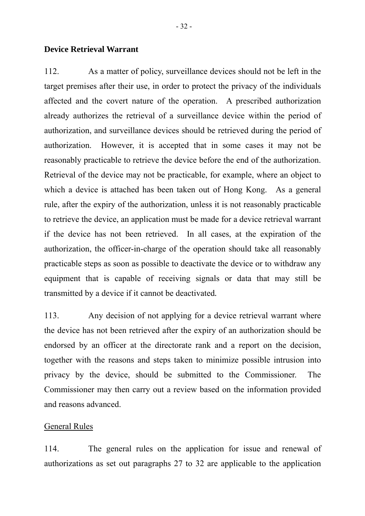#### **Device Retrieval Warrant**

112. As a matter of policy, surveillance devices should not be left in the target premises after their use, in order to protect the privacy of the individuals affected and the covert nature of the operation. A prescribed authorization already authorizes the retrieval of a surveillance device within the period of authorization, and surveillance devices should be retrieved during the period of authorization. However, it is accepted that in some cases it may not be reasonably practicable to retrieve the device before the end of the authorization. Retrieval of the device may not be practicable, for example, where an object to which a device is attached has been taken out of Hong Kong. As a general rule, after the expiry of the authorization, unless it is not reasonably practicable to retrieve the device, an application must be made for a device retrieval warrant if the device has not been retrieved. In all cases, at the expiration of the authorization, the officer-in-charge of the operation should take all reasonably practicable steps as soon as possible to deactivate the device or to withdraw any equipment that is capable of receiving signals or data that may still be transmitted by a device if it cannot be deactivated*.* 

113. Any decision of not applying for a device retrieval warrant where the device has not been retrieved after the expiry of an authorization should be endorsed by an officer at the directorate rank and a report on the decision, together with the reasons and steps taken to minimize possible intrusion into privacy by the device, should be submitted to the Commissioner. The Commissioner may then carry out a review based on the information provided and reasons advanced.

#### General Rules

114. The general rules on the application for issue and renewal of authorizations as set out paragraphs 27 to 32 are applicable to the application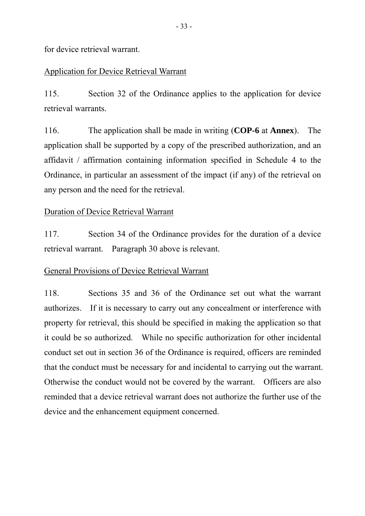for device retrieval warrant.

# Application for Device Retrieval Warrant

115. Section 32 of the Ordinance applies to the application for device retrieval warrants.

116. The application shall be made in writing (**COP-6** at **Annex**). The application shall be supported by a copy of the prescribed authorization, and an affidavit / affirmation containing information specified in Schedule 4 to the Ordinance, in particular an assessment of the impact (if any) of the retrieval on any person and the need for the retrieval.

# Duration of Device Retrieval Warrant

117. Section 34 of the Ordinance provides for the duration of a device retrieval warrant. Paragraph 30 above is relevant.

# General Provisions of Device Retrieval Warrant

118. Sections 35 and 36 of the Ordinance set out what the warrant authorizes. If it is necessary to carry out any concealment or interference with property for retrieval, this should be specified in making the application so that it could be so authorized. While no specific authorization for other incidental conduct set out in section 36 of the Ordinance is required, officers are reminded that the conduct must be necessary for and incidental to carrying out the warrant. Otherwise the conduct would not be covered by the warrant. Officers are also reminded that a device retrieval warrant does not authorize the further use of the device and the enhancement equipment concerned.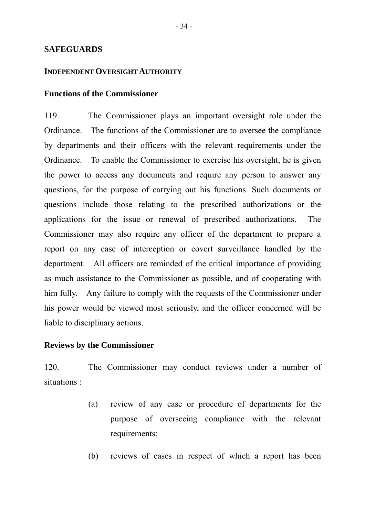#### **SAFEGUARDS**

#### **INDEPENDENT OVERSIGHT AUTHORITY**

#### **Functions of the Commissioner**

119. The Commissioner plays an important oversight role under the Ordinance. The functions of the Commissioner are to oversee the compliance by departments and their officers with the relevant requirements under the Ordinance. To enable the Commissioner to exercise his oversight, he is given the power to access any documents and require any person to answer any questions, for the purpose of carrying out his functions. Such documents or questions include those relating to the prescribed authorizations or the applications for the issue or renewal of prescribed authorizations. The Commissioner may also require any officer of the department to prepare a report on any case of interception or covert surveillance handled by the department. All officers are reminded of the critical importance of providing as much assistance to the Commissioner as possible, and of cooperating with him fully. Any failure to comply with the requests of the Commissioner under his power would be viewed most seriously, and the officer concerned will be liable to disciplinary actions.

#### **Reviews by the Commissioner**

120. The Commissioner may conduct reviews under a number of situations :

- (a) review of any case or procedure of departments for the purpose of overseeing compliance with the relevant requirements;
- (b) reviews of cases in respect of which a report has been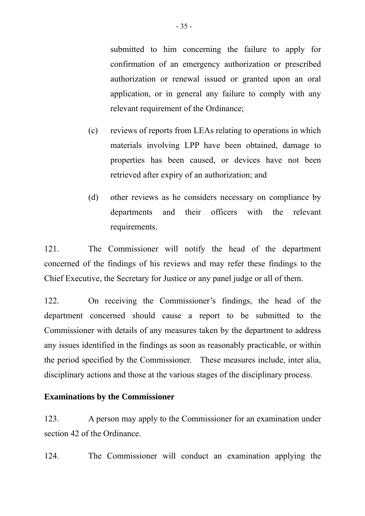submitted to him concerning the failure to apply for confirmation of an emergency authorization or prescribed authorization or renewal issued or granted upon an oral application, or in general any failure to comply with any relevant requirement of the Ordinance;

- (c) reviews of reports from LEAs relating to operations in which materials involving LPP have been obtained, damage to properties has been caused, or devices have not been retrieved after expiry of an authorization; and
- (d) other reviews as he considers necessary on compliance by departments and their officers with the relevant requirements.

121. The Commissioner will notify the head of the department concerned of the findings of his reviews and may refer these findings to the Chief Executive, the Secretary for Justice or any panel judge or all of them.

122. On receiving the Commissioner's findings, the head of the department concerned should cause a report to be submitted to the Commissioner with details of any measures taken by the department to address any issues identified in the findings as soon as reasonably practicable, or within the period specified by the Commissioner. These measures include, inter alia, disciplinary actions and those at the various stages of the disciplinary process.

# **Examinations by the Commissioner**

123. A person may apply to the Commissioner for an examination under section 42 of the Ordinance.

124. The Commissioner will conduct an examination applying the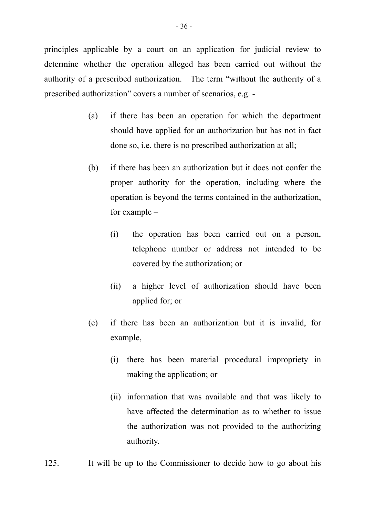principles applicable by a court on an application for judicial review to determine whether the operation alleged has been carried out without the authority of a prescribed authorization. The term "without the authority of a prescribed authorization" covers a number of scenarios, e.g. -

- (a) if there has been an operation for which the department should have applied for an authorization but has not in fact done so, i.e. there is no prescribed authorization at all;
- (b) if there has been an authorization but it does not confer the proper authority for the operation, including where the operation is beyond the terms contained in the authorization, for example –
	- (i) the operation has been carried out on a person, telephone number or address not intended to be covered by the authorization; or
	- (ii) a higher level of authorization should have been applied for; or
- (c) if there has been an authorization but it is invalid, for example,
	- (i) there has been material procedural impropriety in making the application; or
	- (ii) information that was available and that was likely to have affected the determination as to whether to issue the authorization was not provided to the authorizing authority.
- 125. It will be up to the Commissioner to decide how to go about his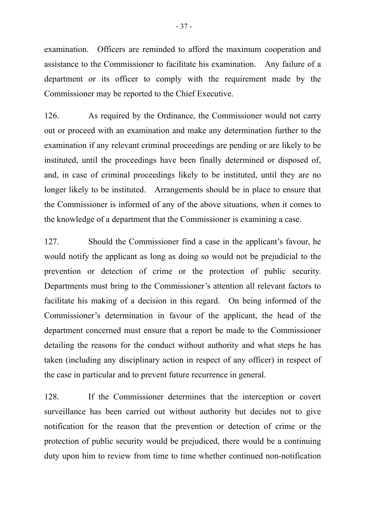examination. Officers are reminded to afford the maximum cooperation and assistance to the Commissioner to facilitate his examination. Any failure of a department or its officer to comply with the requirement made by the Commissioner may be reported to the Chief Executive.

126. As required by the Ordinance, the Commissioner would not carry out or proceed with an examination and make any determination further to the examination if any relevant criminal proceedings are pending or are likely to be instituted, until the proceedings have been finally determined or disposed of, and, in case of criminal proceedings likely to be instituted, until they are no longer likely to be instituted. Arrangements should be in place to ensure that the Commissioner is informed of any of the above situations, when it comes to the knowledge of a department that the Commissioner is examining a case.

127. Should the Commissioner find a case in the applicant's favour, he would notify the applicant as long as doing so would not be prejudicial to the prevention or detection of crime or the protection of public security. Departments must bring to the Commissioner's attention all relevant factors to facilitate his making of a decision in this regard. On being informed of the Commissioner's determination in favour of the applicant, the head of the department concerned must ensure that a report be made to the Commissioner detailing the reasons for the conduct without authority and what steps he has taken (including any disciplinary action in respect of any officer) in respect of the case in particular and to prevent future recurrence in general.

128. If the Commissioner determines that the interception or covert surveillance has been carried out without authority but decides not to give notification for the reason that the prevention or detection of crime or the protection of public security would be prejudiced, there would be a continuing duty upon him to review from time to time whether continued non-notification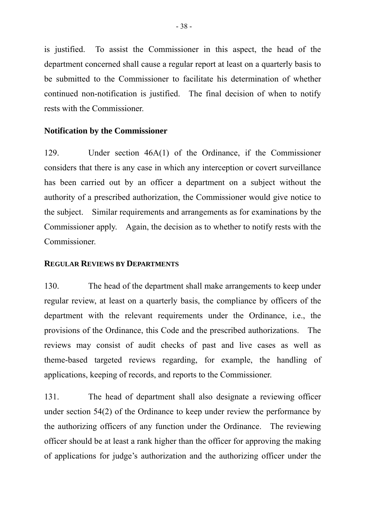is justified. To assist the Commissioner in this aspect, the head of the department concerned shall cause a regular report at least on a quarterly basis to be submitted to the Commissioner to facilitate his determination of whether continued non-notification is justified. The final decision of when to notify rests with the Commissioner.

#### **Notification by the Commissioner**

129. Under section 46A(1) of the Ordinance, if the Commissioner considers that there is any case in which any interception or covert surveillance has been carried out by an officer a department on a subject without the authority of a prescribed authorization, the Commissioner would give notice to the subject. Similar requirements and arrangements as for examinations by the Commissioner apply. Again, the decision as to whether to notify rests with the Commissioner.

#### **REGULAR REVIEWS BY DEPARTMENTS**

130. The head of the department shall make arrangements to keep under regular review, at least on a quarterly basis, the compliance by officers of the department with the relevant requirements under the Ordinance, i.e., the provisions of the Ordinance, this Code and the prescribed authorizations. The reviews may consist of audit checks of past and live cases as well as theme-based targeted reviews regarding, for example, the handling of applications, keeping of records, and reports to the Commissioner.

131. The head of department shall also designate a reviewing officer under section 54(2) of the Ordinance to keep under review the performance by the authorizing officers of any function under the Ordinance. The reviewing officer should be at least a rank higher than the officer for approving the making of applications for judge's authorization and the authorizing officer under the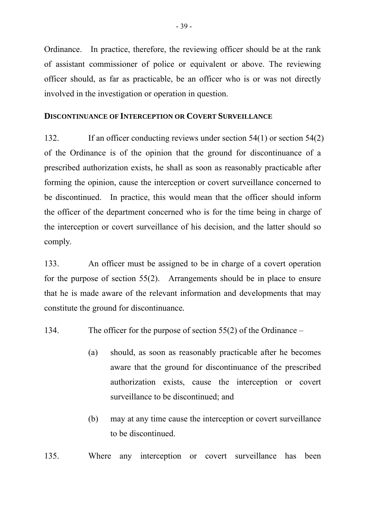Ordinance. In practice, therefore, the reviewing officer should be at the rank of assistant commissioner of police or equivalent or above. The reviewing officer should, as far as practicable, be an officer who is or was not directly involved in the investigation or operation in question.

#### **DISCONTINUANCE OF INTERCEPTION OR COVERT SURVEILLANCE**

132. If an officer conducting reviews under section 54(1) or section 54(2) of the Ordinance is of the opinion that the ground for discontinuance of a prescribed authorization exists, he shall as soon as reasonably practicable after forming the opinion, cause the interception or covert surveillance concerned to be discontinued. In practice, this would mean that the officer should inform the officer of the department concerned who is for the time being in charge of the interception or covert surveillance of his decision, and the latter should so comply.

133. An officer must be assigned to be in charge of a covert operation for the purpose of section 55(2). Arrangements should be in place to ensure that he is made aware of the relevant information and developments that may constitute the ground for discontinuance*.* 

- 134. The officer for the purpose of section 55(2) of the Ordinance
	- (a) should, as soon as reasonably practicable after he becomes aware that the ground for discontinuance of the prescribed authorization exists, cause the interception or covert surveillance to be discontinued; and
	- (b) may at any time cause the interception or covert surveillance to be discontinued.

135. Where any interception or covert surveillance has been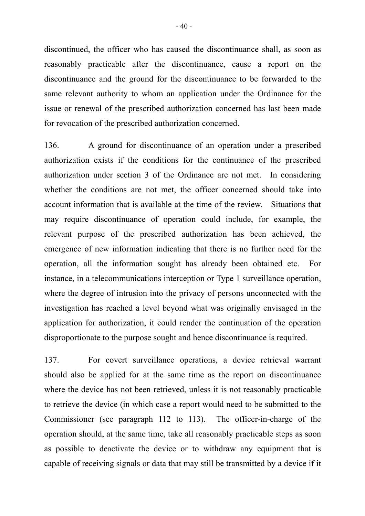discontinued, the officer who has caused the discontinuance shall, as soon as reasonably practicable after the discontinuance, cause a report on the discontinuance and the ground for the discontinuance to be forwarded to the same relevant authority to whom an application under the Ordinance for the issue or renewal of the prescribed authorization concerned has last been made for revocation of the prescribed authorization concerned.

136. A ground for discontinuance of an operation under a prescribed authorization exists if the conditions for the continuance of the prescribed authorization under section 3 of the Ordinance are not met. In considering whether the conditions are not met, the officer concerned should take into account information that is available at the time of the review. Situations that may require discontinuance of operation could include, for example, the relevant purpose of the prescribed authorization has been achieved, the emergence of new information indicating that there is no further need for the operation, all the information sought has already been obtained etc. For instance, in a telecommunications interception or Type 1 surveillance operation, where the degree of intrusion into the privacy of persons unconnected with the investigation has reached a level beyond what was originally envisaged in the application for authorization, it could render the continuation of the operation disproportionate to the purpose sought and hence discontinuance is required.

137. For covert surveillance operations, a device retrieval warrant should also be applied for at the same time as the report on discontinuance where the device has not been retrieved, unless it is not reasonably practicable to retrieve the device (in which case a report would need to be submitted to the Commissioner (see paragraph 112 to 113). The officer-in-charge of the operation should, at the same time, take all reasonably practicable steps as soon as possible to deactivate the device or to withdraw any equipment that is capable of receiving signals or data that may still be transmitted by a device if it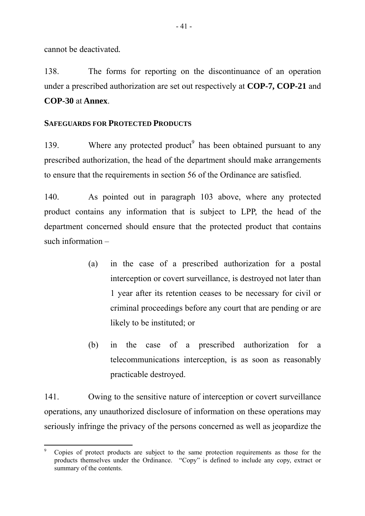cannot be deactivated*.* 

138. The forms for reporting on the discontinuance of an operation under a prescribed authorization are set out respectively at **COP-7, COP-21** and **COP-30** at **Annex**.

# **SAFEGUARDS FOR PROTECTED PRODUCTS**

139. Where any protected product $9$  has been obtained pursuant to any prescribed authorization, the head of the department should make arrangements to ensure that the requirements in section 56 of the Ordinance are satisfied.

140. As pointed out in paragraph 103 above, where any protected product contains any information that is subject to LPP, the head of the department concerned should ensure that the protected product that contains such information –

- (a) in the case of a prescribed authorization for a postal interception or covert surveillance, is destroyed not later than 1 year after its retention ceases to be necessary for civil or criminal proceedings before any court that are pending or are likely to be instituted; or
- (b) in the case of a prescribed authorization for a telecommunications interception, is as soon as reasonably practicable destroyed.

141. Owing to the sensitive nature of interception or covert surveillance operations, any unauthorized disclosure of information on these operations may seriously infringe the privacy of the persons concerned as well as jeopardize the

<sup>-&</sup>lt;br>9 Copies of protect products are subject to the same protection requirements as those for the products themselves under the Ordinance. "Copy" is defined to include any copy, extract or summary of the contents.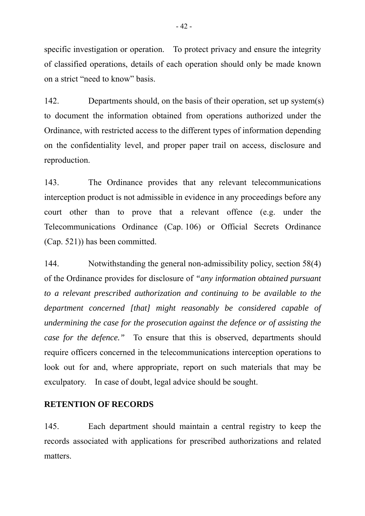specific investigation or operation. To protect privacy and ensure the integrity of classified operations, details of each operation should only be made known on a strict "need to know" basis.

142. Departments should, on the basis of their operation, set up system(s) to document the information obtained from operations authorized under the Ordinance, with restricted access to the different types of information depending on the confidentiality level, and proper paper trail on access, disclosure and reproduction.

143. The Ordinance provides that any relevant telecommunications interception product is not admissible in evidence in any proceedings before any court other than to prove that a relevant offence (e.g. under the Telecommunications Ordinance (Cap. 106) or Official Secrets Ordinance (Cap. 521)) has been committed.

144. Notwithstanding the general non-admissibility policy, section 58(4) of the Ordinance provides for disclosure of *"any information obtained pursuant to a relevant prescribed authorization and continuing to be available to the department concerned [that] might reasonably be considered capable of undermining the case for the prosecution against the defence or of assisting the case for the defence."* To ensure that this is observed, departments should require officers concerned in the telecommunications interception operations to look out for and, where appropriate, report on such materials that may be exculpatory. In case of doubt, legal advice should be sought.

#### **RETENTION OF RECORDS**

145. Each department should maintain a central registry to keep the records associated with applications for prescribed authorizations and related matters.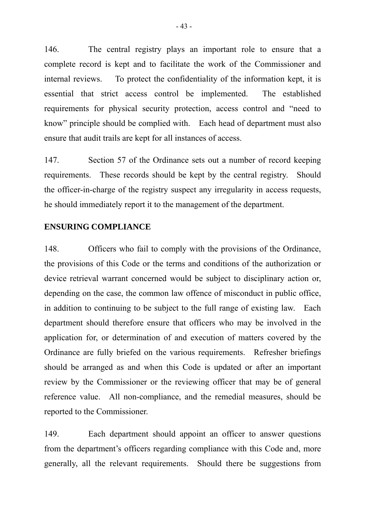146. The central registry plays an important role to ensure that a complete record is kept and to facilitate the work of the Commissioner and internal reviews. To protect the confidentiality of the information kept, it is essential that strict access control be implemented. The established requirements for physical security protection, access control and "need to know" principle should be complied with. Each head of department must also ensure that audit trails are kept for all instances of access.

147. Section 57 of the Ordinance sets out a number of record keeping requirements. These records should be kept by the central registry. Should the officer-in-charge of the registry suspect any irregularity in access requests, he should immediately report it to the management of the department.

#### **ENSURING COMPLIANCE**

148. Officers who fail to comply with the provisions of the Ordinance, the provisions of this Code or the terms and conditions of the authorization or device retrieval warrant concerned would be subject to disciplinary action or, depending on the case, the common law offence of misconduct in public office, in addition to continuing to be subject to the full range of existing law. Each department should therefore ensure that officers who may be involved in the application for, or determination of and execution of matters covered by the Ordinance are fully briefed on the various requirements. Refresher briefings should be arranged as and when this Code is updated or after an important review by the Commissioner or the reviewing officer that may be of general reference value. All non-compliance, and the remedial measures, should be reported to the Commissioner.

149. Each department should appoint an officer to answer questions from the department's officers regarding compliance with this Code and, more generally, all the relevant requirements. Should there be suggestions from